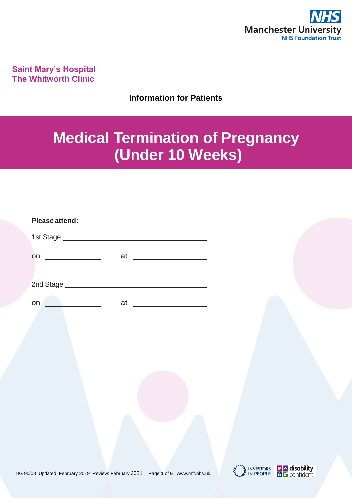

**Saint Mary's Hospital The Whitworth Clinic**

**Information for Patients**

# **Medical Termination of Pregnancy (Under 10 Weeks)**

| Please attend:                |    |  |
|-------------------------------|----|--|
| 1st Stage ___________________ |    |  |
| on                            | at |  |
| 2nd Stage ________________    |    |  |
| on                            | at |  |





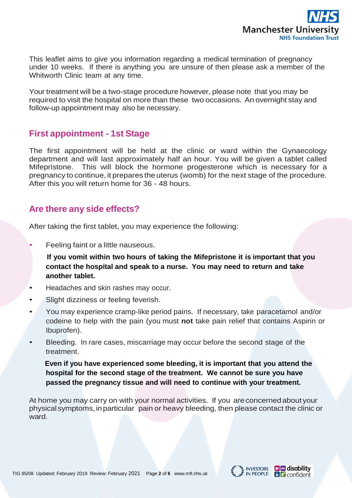

This leaflet aims to give you information regarding a medical termination of pregnancy under 10 weeks. If there is anything you are unsure of then please ask a member of the Whitworth Clinic team at any time.

Your treatment will be a two-stage procedure however, please note that you may be required to visit the hospital on more than these two occasions. An overnight stay and follow-up appointment may also be necessary.

## **First appointment - 1st Stage**

The first appointment will be held at the clinic or ward within the Gynaecology department and will last approximately half an hour. You will be given a tablet called Mifepristone. This will block the hormone progesterone which is necessary for a pregnancy to continue, it prepares the uterus (womb) for the next stage of the procedure. After this you will return home for 36 - 48 hours.

## **Are there any side effects?**

After taking the first tablet, you may experience the following:

• Feeling faint or a little nauseous.

 **If you vomit within two hours of taking the Mifepristone it is important that you contact the hospital and speak to a nurse. You may need to return and take another tablet.**

- Headaches and skin rashes may occur.
- Slight dizziness or feeling feverish.
- You may experience cramp-like period pains. If necessary, take paracetamol and/or codeine to help with the pain (you must **not** take pain relief that contains Aspirin or Ibuprofen).
- Bleeding. In rare cases, miscarriage may occur before the second stage of the treatment.

 **Even if you have experienced some bleeding, it is important that you attend the hospital for the second stage of the treatment. We cannot be sure you have passed the pregnancy tissue and will need to continue with your treatment.**

At home you may carry on with your normal activities. If you areconcernedabout your physical symptoms,inparticular pain or heavy bleeding, then please contact the clinic or ward.

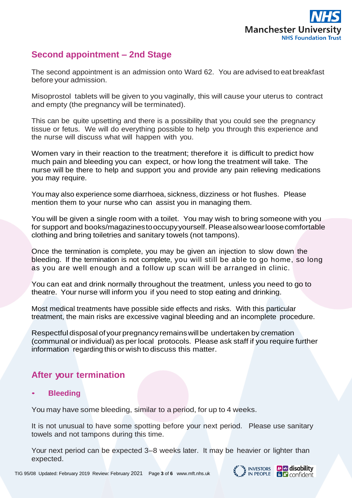

# **Second appointment – 2nd Stage**

The second appointment is an admission onto Ward 62. You are advised to eat breakfast before your admission.

Misoprostol tablets will be given to you vaginally, this will cause your uterus to contract and empty (the pregnancy will be terminated).

This can be quite upsetting and there is a possibility that you could see the pregnancy tissue or fetus. We will do everything possible to help you through this experience and the nurse will discuss what will happen with you.

Women vary in their reaction to the treatment; therefore it is difficult to predict how much pain and bleeding you can expect, or how long the treatment will take. The nurse will be there to help and support you and provide any pain relieving medications you may require.

You may also experience some diarrhoea, sickness, dizziness or hot flushes. Please mention them to your nurse who can assist you in managing them.

You will be given a single room with a toilet. You may wish to bring someone with you for support and books/magazinestooccupyyourself. Pleasealsowearloosecomfortable clothing and bring toiletries and sanitary towels (not tampons).

Once the termination is complete, you may be given an injection to slow down the bleeding. If the termination is not complete, you will still be able to go home, so long as you are well enough and a follow up scan will be arranged in clinic.

You can eat and drink normally throughout the treatment, unless you need to go to theatre. Your nurse will inform you if you need to stop eating and drinking.

Most medical treatments have possible side effects and risks. With this particular treatment, the main risks are excessive vaginal bleeding and an incomplete procedure.

Respectful disposal of your pregnancy remains will be undertaken by cremation (communal or individual) as per local protocols. Please ask staff if you require further information regarding this or wish to discuss this matter.

# **After your termination**

• **Bleeding**

You may have some bleeding, similar to a period, for up to 4 weeks.

It is not unusual to have some spotting before your next period. Please use sanitary towels and not tampons during this time.

Your next period can be expected 3–8 weeks later. It may be heavier or lighter than expected.





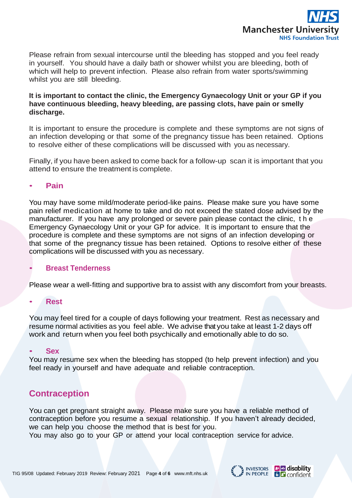

Please refrain from sexual intercourse until the bleeding has stopped and you feel ready in yourself. You should have a daily bath or shower whilst you are bleeding, both of which will help to prevent infection. Please also refrain from water sports/swimming whilst you are still bleeding.

## **It is important to contact the clinic, the Emergency Gynaecology Unit or your GP if you have continuous bleeding, heavy bleeding, are passing clots, have pain or smelly discharge.**

It is important to ensure the procedure is complete and these symptoms are not signs of an infection developing or that some of the pregnancy tissue has been retained. Options to resolve either of these complications will be discussed with you as necessary.

Finally, if you have been asked to come back for a follow-up scan it is important that you attend to ensure the treatment is complete.

#### • **Pain**

You may have some mild/moderate period-like pains. Please make sure you have some pain relief medication at home to take and do not exceed the stated dose advised by the manufacturer. If you have any prolonged or severe pain please contact the clinic, t h e Emergency Gynaecology Unit or your GP for advice. It is important to ensure that the procedure is complete and these symptoms are not signs of an infection developing or that some of the pregnancy tissue has been retained. Options to resolve either of these complications will be discussed with you as necessary.

#### • **Breast Tenderness**

Please wear a well-fitting and supportive bra to assist with any discomfort from your breasts.

#### • **Rest**

You may feel tired for a couple of days following your treatment. Rest as necessary and resume normal activities as you feel able. We advise that you take at least 1-2 days off work and return when you feel both psychically and emotionally able to do so.

#### • **Sex**

You may resume sex when the bleeding has stopped (to help prevent infection) and you feel ready in yourself and have adequate and reliable contraception.

## **Contraception**

You can get pregnant straight away. Please make sure you have a reliable method of contraception before you resume a sexual relationship. If you haven't already decided, we can help you choose the method that is best for you.

You may also go to your GP or attend your local contraception service for advice.

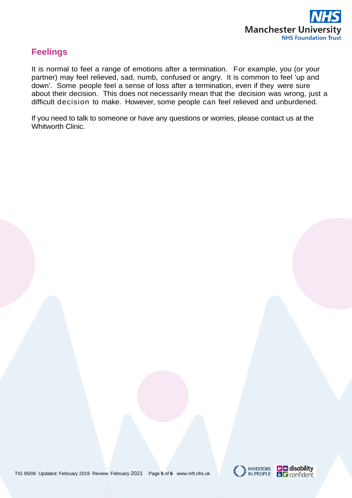

# **Feelings**

It is normal to feel a range of emotions after a termination. For example, you (or your partner) may feel relieved, sad, numb, confused or angry. It is common to feel 'up and down'. Some people feel a sense of loss after a termination, even if they were sure about their decision. This does not necessarily mean that the decision was wrong, just a difficult decision to make. However, some people can feel relieved and unburdened.

If you need to talk to someone or have any questions or worries, please contact us at the Whitworth Clinic.